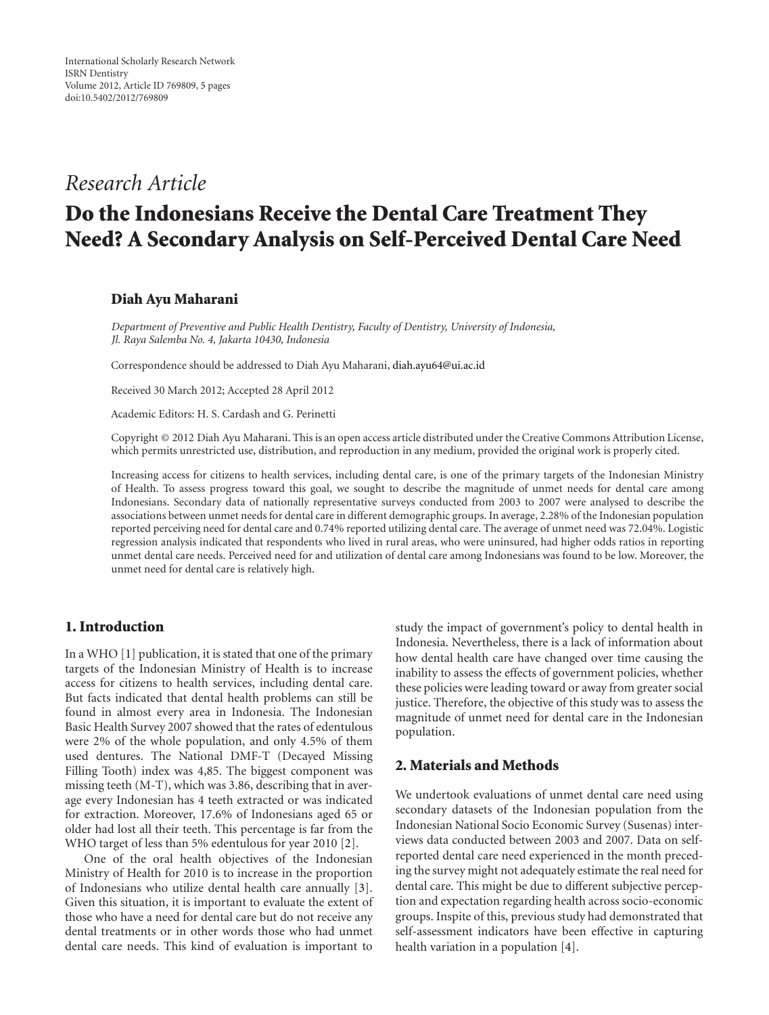# *Research Article*

# **Do the Indonesians Receive the Dental Care Treatment They Need? A Secondary Analysis on Self-Perceived Dental Care Need**

## **Diah Ayu Maharani**

*Department of Preventive and Public Health Dentistry, Faculty of Dentistry, University of Indonesia, Jl. Raya Salemba No. 4, Jakarta 10430, Indonesia*

Correspondence should be addressed to Diah Ayu Maharani, diah.ayu64@ui.ac.id

Received 30 March 2012; Accepted 28 April 2012

Academic Editors: H. S. Cardash and G. Perinetti

Copyright © 2012 Diah Ayu Maharani. This is an open access article distributed under the Creative Commons Attribution License, which permits unrestricted use, distribution, and reproduction in any medium, provided the original work is properly cited.

Increasing access for citizens to health services, including dental care, is one of the primary targets of the Indonesian Ministry of Health. To assess progress toward this goal, we sought to describe the magnitude of unmet needs for dental care among Indonesians. Secondary data of nationally representative surveys conducted from 2003 to 2007 were analysed to describe the associations between unmet needs for dental care in different demographic groups. In average, 2.28% of the Indonesian population reported perceiving need for dental care and 0.74% reported utilizing dental care. The average of unmet need was 72.04%. Logistic regression analysis indicated that respondents who lived in rural areas, who were uninsured, had higher odds ratios in reporting unmet dental care needs. Perceived need for and utilization of dental care among Indonesians was found to be low. Moreover, the unmet need for dental care is relatively high.

# **1. Introduction**

In a WHO [1] publication, it is stated that one of the primary targets of the Indonesian Ministry of Health is to increase access for citizens to health services, including dental care. But facts indicated that dental health problems can still be found in almost every area in Indonesia. The Indonesian Basic Health Survey 2007 showed that the rates of edentulous were 2% of the whole population, and only 4.5% of them used dentures. The National DMF-T (Decayed Missing Filling Tooth) index was 4,85. The biggest component was missing teeth (M-T), which was 3.86, describing that in average every Indonesian has 4 teeth extracted or was indicated for extraction. Moreover, 17.6% of Indonesians aged 65 or older had lost all their teeth. This percentage is far from the WHO target of less than 5% edentulous for year 2010 [2].

One of the oral health objectives of the Indonesian Ministry of Health for 2010 is to increase in the proportion of Indonesians who utilize dental health care annually [3]. Given this situation, it is important to evaluate the extent of those who have a need for dental care but do not receive any dental treatments or in other words those who had unmet dental care needs. This kind of evaluation is important to

study the impact of government's policy to dental health in Indonesia. Nevertheless, there is a lack of information about how dental health care have changed over time causing the inability to assess the effects of government policies, whether these policies were leading toward or away from greater social justice. Therefore, the objective of this study was to assess the magnitude of unmet need for dental care in the Indonesian population.

# **2. Materials and Methods**

We undertook evaluations of unmet dental care need using secondary datasets of the Indonesian population from the Indonesian National Socio Economic Survey (Susenas) interviews data conducted between 2003 and 2007. Data on selfreported dental care need experienced in the month preceding the survey might not adequately estimate the real need for dental care. This might be due to different subjective perception and expectation regarding health across socio-economic groups. Inspite of this, previous study had demonstrated that self-assessment indicators have been effective in capturing health variation in a population [4].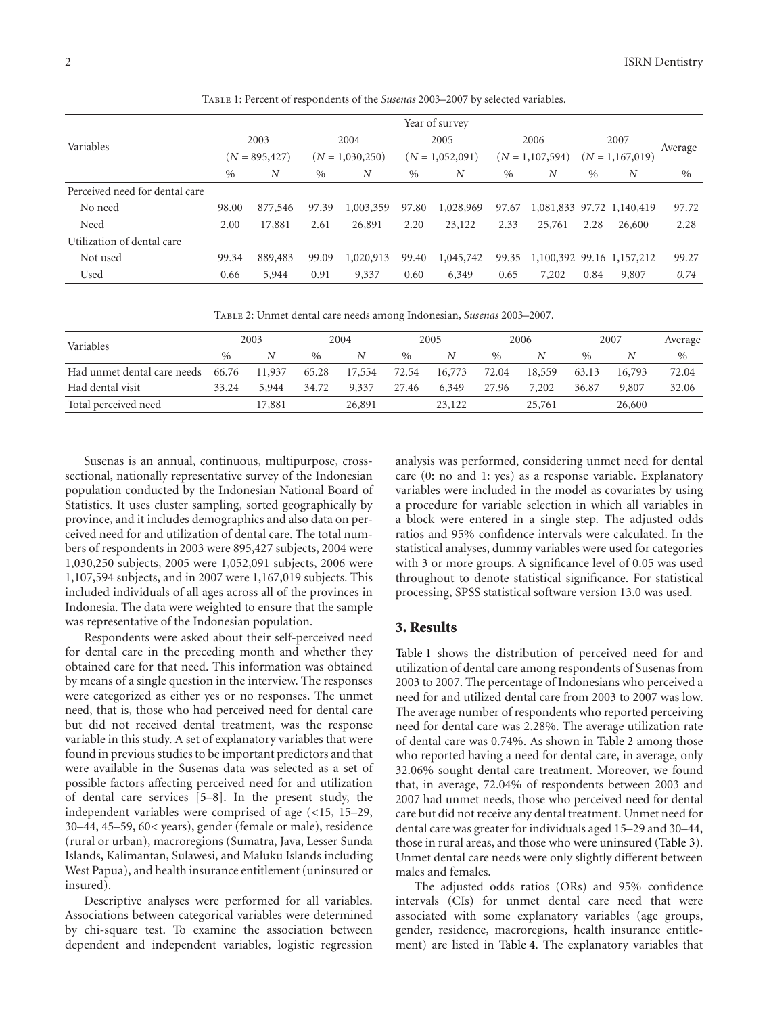|                                | Year of survey   |         |                   |           |                   |           |                     |        |                   |                           |         |
|--------------------------------|------------------|---------|-------------------|-----------|-------------------|-----------|---------------------|--------|-------------------|---------------------------|---------|
| Variables                      | 2003             |         | 2004              |           | 2005              |           | 2006                |        | 2007              |                           | Average |
|                                | $(N = 895, 427)$ |         | $(N = 1,030,250)$ |           | $(N = 1,052,091)$ |           | $(N = 1, 107, 594)$ |        | $(N = 1,167,019)$ |                           |         |
|                                | $\frac{0}{0}$    | N       | $\%$              | N         | $\%$              | N         | $\%$                | N      | $\%$              | N                         | $\%$    |
| Perceived need for dental care |                  |         |                   |           |                   |           |                     |        |                   |                           |         |
| No need                        | 98.00            | 877,546 | 97.39             | 1,003,359 | 97.80             | 1,028,969 | 97.67               |        |                   | 1,081,833 97.72 1,140,419 | 97.72   |
| Need                           | 2.00             | 17,881  | 2.61              | 26,891    | 2.20              | 23,122    | 2.33                | 25,761 | 2.28              | 26,600                    | 2.28    |
| Utilization of dental care     |                  |         |                   |           |                   |           |                     |        |                   |                           |         |
| Not used                       | 99.34            | 889,483 | 99.09             | 1,020,913 | 99.40             | 1,045,742 | 99.35               |        |                   | 1,100,392 99.16 1,157,212 | 99.27   |
| Used                           | 0.66             | 5,944   | 0.91              | 9,337     | 0.60              | 6,349     | 0.65                | 7,202  | 0.84              | 9,807                     | 0.74    |

Table 1: Percent of respondents of the *Susenas* 2003–2007 by selected variables.

Table 2: Unmet dental care needs among Indonesian, *Susenas* 2003–2007.

| Variables                         | 2003          |        | 2004          |        | 2005  |        | 2006          |        | 2007          |        | Average |
|-----------------------------------|---------------|--------|---------------|--------|-------|--------|---------------|--------|---------------|--------|---------|
|                                   | $\frac{0}{0}$ | N      | $\frac{0}{0}$ | N      | $\%$  | N      | $\frac{0}{0}$ | N      | $\frac{0}{0}$ |        | $\%$    |
| Had unmet dental care needs 66.76 |               | 11,937 | 65.28         | 17,554 | 72.54 | 16,773 | 72.04         | 18,559 | 63.13         | 16,793 | 72.04   |
| Had dental visit                  | 33.24         | 5,944  | 34.72         | 9.337  | 27.46 | 6,349  | 27.96         | 7,202  | 36.87         | 9,807  | 32.06   |
| Total perceived need              |               | 17,881 |               | 26,891 |       | 23,122 |               | 25,761 |               | 26,600 |         |

Susenas is an annual, continuous, multipurpose, crosssectional, nationally representative survey of the Indonesian population conducted by the Indonesian National Board of Statistics. It uses cluster sampling, sorted geographically by province, and it includes demographics and also data on perceived need for and utilization of dental care. The total numbers of respondents in 2003 were 895,427 subjects, 2004 were 1,030,250 subjects, 2005 were 1,052,091 subjects, 2006 were 1,107,594 subjects, and in 2007 were 1,167,019 subjects. This included individuals of all ages across all of the provinces in Indonesia. The data were weighted to ensure that the sample was representative of the Indonesian population.

Respondents were asked about their self-perceived need for dental care in the preceding month and whether they obtained care for that need. This information was obtained by means of a single question in the interview. The responses were categorized as either yes or no responses. The unmet need, that is, those who had perceived need for dental care but did not received dental treatment, was the response variable in this study. A set of explanatory variables that were found in previous studies to be important predictors and that were available in the Susenas data was selected as a set of possible factors affecting perceived need for and utilization of dental care services [5–8]. In the present study, the independent variables were comprised of age (*<*15, 15–29, 30–44, 45–59, 60*<* years), gender (female or male), residence (rural or urban), macroregions (Sumatra, Java, Lesser Sunda Islands, Kalimantan, Sulawesi, and Maluku Islands including West Papua), and health insurance entitlement (uninsured or insured).

Descriptive analyses were performed for all variables. Associations between categorical variables were determined by chi-square test. To examine the association between dependent and independent variables, logistic regression

analysis was performed, considering unmet need for dental care (0: no and 1: yes) as a response variable. Explanatory variables were included in the model as covariates by using a procedure for variable selection in which all variables in a block were entered in a single step. The adjusted odds ratios and 95% confidence intervals were calculated. In the statistical analyses, dummy variables were used for categories with 3 or more groups. A significance level of 0.05 was used throughout to denote statistical significance. For statistical processing, SPSS statistical software version 13.0 was used.

#### **3. Results**

Table 1 shows the distribution of perceived need for and utilization of dental care among respondents of Susenas from 2003 to 2007. The percentage of Indonesians who perceived a need for and utilized dental care from 2003 to 2007 was low. The average number of respondents who reported perceiving need for dental care was 2.28%. The average utilization rate of dental care was 0.74%. As shown in Table 2 among those who reported having a need for dental care, in average, only 32.06% sought dental care treatment. Moreover, we found that, in average, 72.04% of respondents between 2003 and 2007 had unmet needs, those who perceived need for dental care but did not receive any dental treatment. Unmet need for dental care was greater for individuals aged 15–29 and 30–44, those in rural areas, and those who were uninsured (Table 3). Unmet dental care needs were only slightly different between males and females.

The adjusted odds ratios (ORs) and 95% confidence intervals (CIs) for unmet dental care need that were associated with some explanatory variables (age groups, gender, residence, macroregions, health insurance entitlement) are listed in Table 4. The explanatory variables that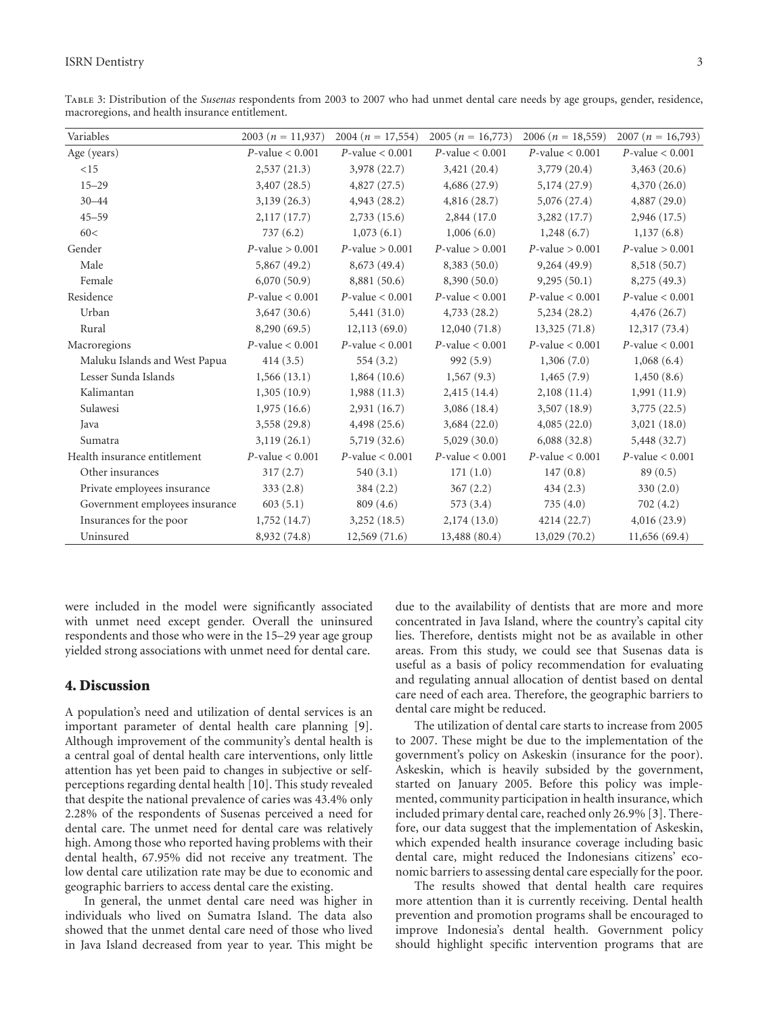Table 3: Distribution of the *Susenas* respondents from 2003 to 2007 who had unmet dental care needs by age groups, gender, residence, macroregions, and health insurance entitlement.

| Variables                      | 2003 ( $n = 11,937$ ) | $2004(n = 17,554)$   | $2005(n = 16,773)$ | 2006 ( $n = 18,559$ ) | 2007 ( $n = 16,793$ ) |
|--------------------------------|-----------------------|----------------------|--------------------|-----------------------|-----------------------|
| Age (years)                    | $P$ -value < 0.001    | $P$ -value < 0.001   | $P$ -value < 0.001 | $P$ -value < 0.001    | $P$ -value < 0.001    |
| <15                            | 2,537(21.3)           | 3,978 (22.7)         | 3,421(20.4)        | 3,779 (20.4)          | 3,463(20.6)           |
| $15 - 29$                      | 3,407(28.5)           | 4,827(27.5)          | 4,686(27.9)        | 5,174 (27.9)          | 4,370(26.0)           |
| $30 - 44$                      | 3,139(26.3)           | 4,943(28.2)          | 4,816(28.7)        | 5,076(27.4)           | 4,887(29.0)           |
| $45 - 59$                      | 2,117(17.7)           | 2,733(15.6)          | 2,844 (17.0)       | 3,282(17.7)           | 2,946(17.5)           |
| 60<                            | 737(6.2)              | 1,073(6.1)           | 1,006(6.0)         | 1,248(6.7)            | 1,137(6.8)            |
| Gender                         | $P$ -value > 0.001    | $P$ -value > 0.001   | $P$ -value > 0.001 | $P$ -value > 0.001    | $P$ -value > 0.001    |
| Male                           | 5,867(49.2)           | 8,673 (49.4)         | 8,383 (50.0)       | 9,264(49.9)           | 8,518 (50.7)          |
| Female                         | 6,070(50.9)           | 8,881 (50.6)         | 8,390(50.0)        | 9,295(50.1)           | 8,275 (49.3)          |
| Residence                      | $P$ -value < 0.001    | $P$ -value < 0.001   | $P$ -value < 0.001 | $P$ -value < 0.001    | $P$ -value < 0.001    |
| Urban                          | 3,647(30.6)           | 5,441(31.0)          | 4,733(28.2)        | 5,234(28.2)           | 4,476(26.7)           |
| Rural                          | 8,290 (69.5)          | 12,113(69.0)         | 12,040(71.8)       | 13,325(71.8)          | 12,317(73.4)          |
| Macroregions                   | $P$ -value < 0.001    | $P$ -value < 0.001   | $P$ -value < 0.001 | $P$ -value < 0.001    | $P$ -value < 0.001    |
| Maluku Islands and West Papua  | 414(3.5)              | 554(3.2)             | 992(5.9)           | 1,306(7.0)            | 1,068(6.4)            |
| Lesser Sunda Islands           | 1,566(13.1)           | 1,864(10.6)          | 1,567(9.3)         | 1,465(7.9)            | 1,450(8.6)            |
| Kalimantan                     | 1,305(10.9)           | 1,988(11.3)          | 2,415(14.4)        | 2,108(11.4)           | 1,991 (11.9)          |
| Sulawesi                       | 1,975(16.6)           | 2,931(16.7)          | 3,086(18.4)        | 3,507(18.9)           | 3,775(22.5)           |
| Java                           | 3,558 (29.8)          | 4,498(25.6)          | 3,684(22.0)        | 4,085(22.0)           | 3,021(18.0)           |
| Sumatra                        | 3,119(26.1)           | 5,719(32.6)          | 5,029(30.0)        | 6,088(32.8)           | 5,448 (32.7)          |
| Health insurance entitlement   | $P$ -value < 0.001    | $P$ -value < $0.001$ | $P$ -value < 0.001 | $P$ -value < 0.001    | $P$ -value < 0.001    |
| Other insurances               | 317(2.7)              | 540(3.1)             | 171(1.0)           | 147(0.8)              | 89(0.5)               |
| Private employees insurance    | 333(2.8)              | 384(2.2)             | 367(2.2)           | 434(2.3)              | 330(2.0)              |
| Government employees insurance | 603(5.1)              | 809(4.6)             | 573(3.4)           | 735(4.0)              | 702 (4.2)             |
| Insurances for the poor        | 1,752(14.7)           | 3,252(18.5)          | 2,174(13.0)        | 4214(22.7)            | 4,016(23.9)           |
| Uninsured                      | 8,932 (74.8)          | 12,569 (71.6)        | 13,488 (80.4)      | 13,029 (70.2)         | 11,656(69.4)          |

were included in the model were significantly associated with unmet need except gender. Overall the uninsured respondents and those who were in the 15–29 year age group yielded strong associations with unmet need for dental care.

## **4. Discussion**

A population's need and utilization of dental services is an important parameter of dental health care planning [9]. Although improvement of the community's dental health is a central goal of dental health care interventions, only little attention has yet been paid to changes in subjective or selfperceptions regarding dental health [10]. This study revealed that despite the national prevalence of caries was 43.4% only 2.28% of the respondents of Susenas perceived a need for dental care. The unmet need for dental care was relatively high. Among those who reported having problems with their dental health, 67.95% did not receive any treatment. The low dental care utilization rate may be due to economic and geographic barriers to access dental care the existing.

In general, the unmet dental care need was higher in individuals who lived on Sumatra Island. The data also showed that the unmet dental care need of those who lived in Java Island decreased from year to year. This might be

due to the availability of dentists that are more and more concentrated in Java Island, where the country's capital city lies. Therefore, dentists might not be as available in other areas. From this study, we could see that Susenas data is useful as a basis of policy recommendation for evaluating and regulating annual allocation of dentist based on dental care need of each area. Therefore, the geographic barriers to dental care might be reduced.

The utilization of dental care starts to increase from 2005 to 2007. These might be due to the implementation of the government's policy on Askeskin (insurance for the poor). Askeskin, which is heavily subsided by the government, started on January 2005. Before this policy was implemented, community participation in health insurance, which included primary dental care, reached only 26.9% [3]. Therefore, our data suggest that the implementation of Askeskin, which expended health insurance coverage including basic dental care, might reduced the Indonesians citizens' economic barriers to assessing dental care especially for the poor.

The results showed that dental health care requires more attention than it is currently receiving. Dental health prevention and promotion programs shall be encouraged to improve Indonesia's dental health. Government policy should highlight specific intervention programs that are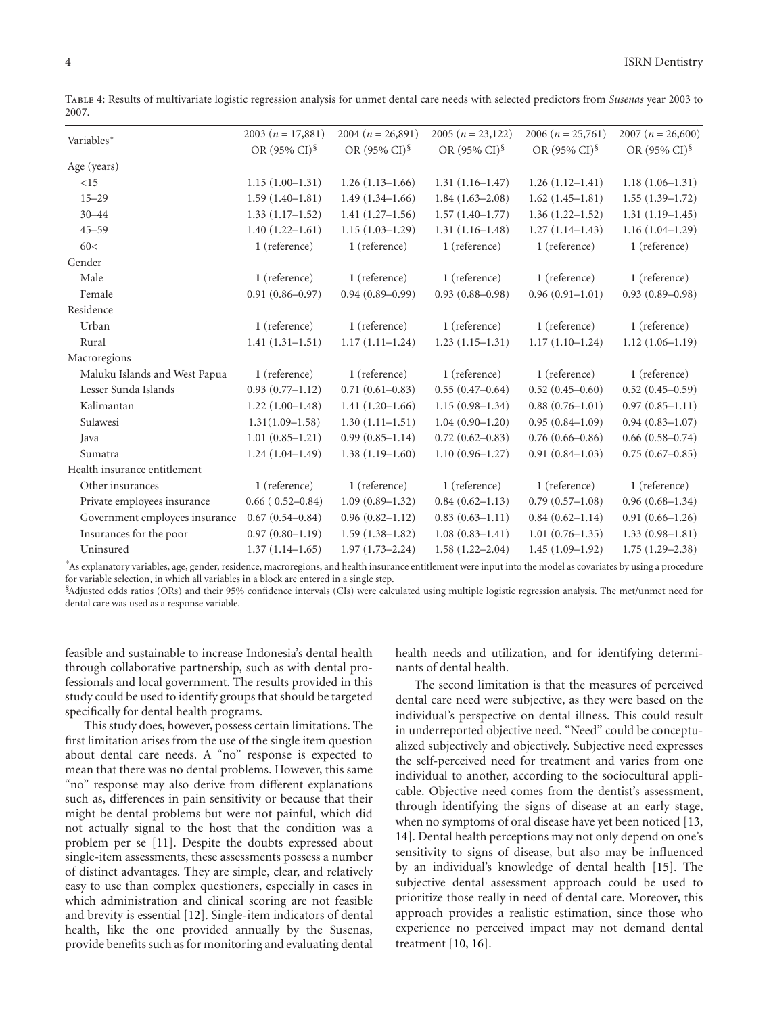| Variables*                     | 2003 $(n = 17,881)$                  | $2004(n = 26,891)$                   | $2005(n = 23,122)$                   | 2006 ( $n = 25,761$ )                | $2007(n = 26,600)$                   |
|--------------------------------|--------------------------------------|--------------------------------------|--------------------------------------|--------------------------------------|--------------------------------------|
|                                | OR $(95\% \text{ CI})^{\frac{6}{3}}$ | OR $(95\% \text{ CI})^{\frac{6}{3}}$ | OR $(95\% \text{ CI})^{\frac{6}{3}}$ | OR $(95\% \text{ CI})^{\frac{6}{3}}$ | OR $(95\% \text{ CI})^{\frac{6}{3}}$ |
| Age (years)                    |                                      |                                      |                                      |                                      |                                      |
| <15                            | $1.15(1.00-1.31)$                    | $1.26(1.13-1.66)$                    | $1.31(1.16-1.47)$                    | $1.26(1.12 - 1.41)$                  | $1.18(1.06-1.31)$                    |
| $15 - 29$                      | $1.59(1.40-1.81)$                    | $1.49(1.34 - 1.66)$                  | $1.84(1.63-2.08)$                    | $1.62(1.45-1.81)$                    | $1.55(1.39-1.72)$                    |
| $30 - 44$                      | $1.33(1.17-1.52)$                    | $1.41(1.27-1.56)$                    | $1.57(1.40-1.77)$                    | $1.36(1.22 - 1.52)$                  | $1.31(1.19-1.45)$                    |
| $45 - 59$                      | $1.40(1.22 - 1.61)$                  | $1.15(1.03-1.29)$                    | $1.31(1.16-1.48)$                    | $1.27(1.14-1.43)$                    | $1.16(1.04 - 1.29)$                  |
| 60<                            | 1 (reference)                        | 1 (reference)                        | 1 (reference)                        | 1 (reference)                        | 1 (reference)                        |
| Gender                         |                                      |                                      |                                      |                                      |                                      |
| Male                           | 1 (reference)                        | 1 (reference)                        | 1 (reference)                        | 1 (reference)                        | 1 (reference)                        |
| Female                         | $0.91(0.86 - 0.97)$                  | $0.94(0.89 - 0.99)$                  | $0.93(0.88 - 0.98)$                  | $0.96(0.91 - 1.01)$                  | $0.93(0.89 - 0.98)$                  |
| Residence                      |                                      |                                      |                                      |                                      |                                      |
| Urban                          | 1 (reference)                        | 1 (reference)                        | 1 (reference)                        | 1 (reference)                        | 1 (reference)                        |
| Rural                          | $1.41(1.31-1.51)$                    | $1.17(1.11-1.24)$                    | $1.23(1.15-1.31)$                    | $1.17(1.10-1.24)$                    | $1.12(1.06-1.19)$                    |
| Macroregions                   |                                      |                                      |                                      |                                      |                                      |
| Maluku Islands and West Papua  | 1 (reference)                        | 1 (reference)                        | 1 (reference)                        | 1 (reference)                        | 1 (reference)                        |
| Lesser Sunda Islands           | $0.93(0.77-1.12)$                    | $0.71(0.61 - 0.83)$                  | $0.55(0.47-0.64)$                    | $0.52(0.45 - 0.60)$                  | $0.52(0.45-0.59)$                    |
| Kalimantan                     | $1.22(1.00-1.48)$                    | $1.41(1.20-1.66)$                    | $1.15(0.98-1.34)$                    | $0.88(0.76 - 1.01)$                  | $0.97(0.85 - 1.11)$                  |
| Sulawesi                       | $1.31(1.09 - 1.58)$                  | $1.30(1.11-1.51)$                    | $1.04(0.90-1.20)$                    | $0.95(0.84 - 1.09)$                  | $0.94(0.83 - 1.07)$                  |
| Java                           | $1.01(0.85-1.21)$                    | $0.99(0.85 - 1.14)$                  | $0.72(0.62 - 0.83)$                  | $0.76(0.66 - 0.86)$                  | $0.66(0.58 - 0.74)$                  |
| Sumatra                        | $1.24(1.04-1.49)$                    | $1.38(1.19-1.60)$                    | $1.10(0.96 - 1.27)$                  | $0.91(0.84 - 1.03)$                  | $0.75(0.67-0.85)$                    |
| Health insurance entitlement   |                                      |                                      |                                      |                                      |                                      |
| Other insurances               | 1 (reference)                        | 1 (reference)                        | 1 (reference)                        | 1 (reference)                        | 1 (reference)                        |
| Private employees insurance    | $0.66(0.52-0.84)$                    | $1.09(0.89 - 1.32)$                  | $0.84(0.62 - 1.13)$                  | $0.79(0.57-1.08)$                    | $0.96(0.68 - 1.34)$                  |
| Government employees insurance | $0.67(0.54 - 0.84)$                  | $0.96(0.82 - 1.12)$                  | $0.83(0.63 - 1.11)$                  | $0.84(0.62 - 1.14)$                  | $0.91(0.66 - 1.26)$                  |
| Insurances for the poor        | $0.97(0.80 - 1.19)$                  | $1.59(1.38-1.82)$                    | $1.08(0.83 - 1.41)$                  | $1.01(0.76 - 1.35)$                  | $1.33(0.98-1.81)$                    |
| Uninsured                      | $1.37(1.14 - 1.65)$                  | $1.97(1.73 - 2.24)$                  | $1.58(1.22 - 2.04)$                  | $1.45(1.09-1.92)$                    | $1.75(1.29 - 2.38)$                  |

Table 4: Results of multivariate logistic regression analysis for unmet dental care needs with selected predictors from *Susenas* year 2003 to 2007.

∗ As explanatory variables, age, gender, residence, macroregions, and health insurance entitlement were input into the model as covariates by using a procedure for variable selection, in which all variables in a block are entered in a single step.

§Adjusted odds ratios (ORs) and their 95% confidence intervals (CIs) were calculated using multiple logistic regression analysis. The met/unmet need for dental care was used as a response variable.

feasible and sustainable to increase Indonesia's dental health through collaborative partnership, such as with dental professionals and local government. The results provided in this study could be used to identify groups that should be targeted specifically for dental health programs.

This study does, however, possess certain limitations. The first limitation arises from the use of the single item question about dental care needs. A "no" response is expected to mean that there was no dental problems. However, this same "no" response may also derive from different explanations such as, differences in pain sensitivity or because that their might be dental problems but were not painful, which did not actually signal to the host that the condition was a problem per se [11]. Despite the doubts expressed about single-item assessments, these assessments possess a number of distinct advantages. They are simple, clear, and relatively easy to use than complex questioners, especially in cases in which administration and clinical scoring are not feasible and brevity is essential [12]. Single-item indicators of dental health, like the one provided annually by the Susenas, provide benefits such as for monitoring and evaluating dental

health needs and utilization, and for identifying determinants of dental health.

The second limitation is that the measures of perceived dental care need were subjective, as they were based on the individual's perspective on dental illness. This could result in underreported objective need. "Need" could be conceptualized subjectively and objectively. Subjective need expresses the self-perceived need for treatment and varies from one individual to another, according to the sociocultural applicable. Objective need comes from the dentist's assessment, through identifying the signs of disease at an early stage, when no symptoms of oral disease have yet been noticed [13, 14]. Dental health perceptions may not only depend on one's sensitivity to signs of disease, but also may be influenced by an individual's knowledge of dental health [15]. The subjective dental assessment approach could be used to prioritize those really in need of dental care. Moreover, this approach provides a realistic estimation, since those who experience no perceived impact may not demand dental treatment [10, 16].